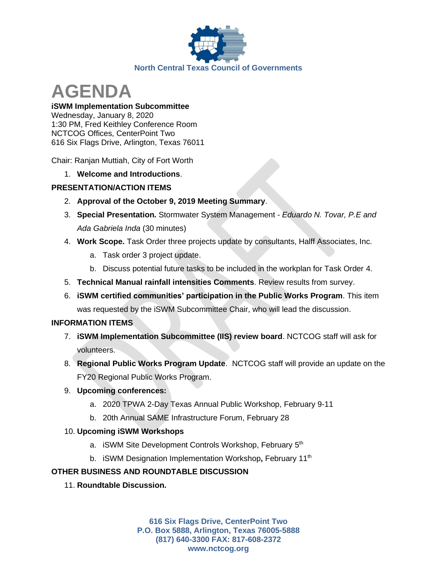

# **AGENDA**

**iSWM Implementation Subcommittee** Wednesday, January 8, 2020 1:30 PM, Fred Keithley Conference Room NCTCOG Offices, CenterPoint Two 616 Six Flags Drive, Arlington, Texas 76011

Chair: Ranjan Muttiah, City of Fort Worth

1. **Welcome and Introductions**.

## **PRESENTATION/ACTION ITEMS**

- 2. **Approval of the October 9, 2019 Meeting Summary**.
- 3. **Special Presentation.** Stormwater System Management *Eduardo N. Tovar, P.E and Ada Gabriela Inda* (30 minutes)
- 4. **Work Scope.** Task Order three projects update by consultants, Halff Associates, Inc.
	- a. Task order 3 project update.
	- b. Discuss potential future tasks to be included in the workplan for Task Order 4.
- 5. **Technical Manual rainfall intensities Comments**. Review results from survey.
- 6. **iSWM certified communities' participation in the Public Works Program**. This item was requested by the iSWM Subcommittee Chair, who will lead the discussion.

## **INFORMATION ITEMS**

- 7. **iSWM Implementation Subcommittee (IIS) review board**. NCTCOG staff will ask for volunteers.
- 8. **Regional Public Works Program Update**. NCTCOG staff will provide an update on the FY20 Regional Public Works Program.

## 9. **Upcoming conferences:**

- a. 2020 TPWA 2-Day Texas Annual Public Workshop, February 9-11
- b. 20th Annual SAME Infrastructure Forum, February 28

## 10. **Upcoming iSWM Workshops**

- a. iSWM Site Development Controls Workshop, February 5<sup>th</sup>
- b. iSWM Designation Implementation Workshop**,** February 11th

## **OTHER BUSINESS AND ROUNDTABLE DISCUSSION**

11. **Roundtable Discussion.**

**616 Six Flags Drive, CenterPoint Two P.O. Box 5888, Arlington, Texas 76005-5888 (817) 640-3300 FAX: 817-608-2372 www.nctcog.org**